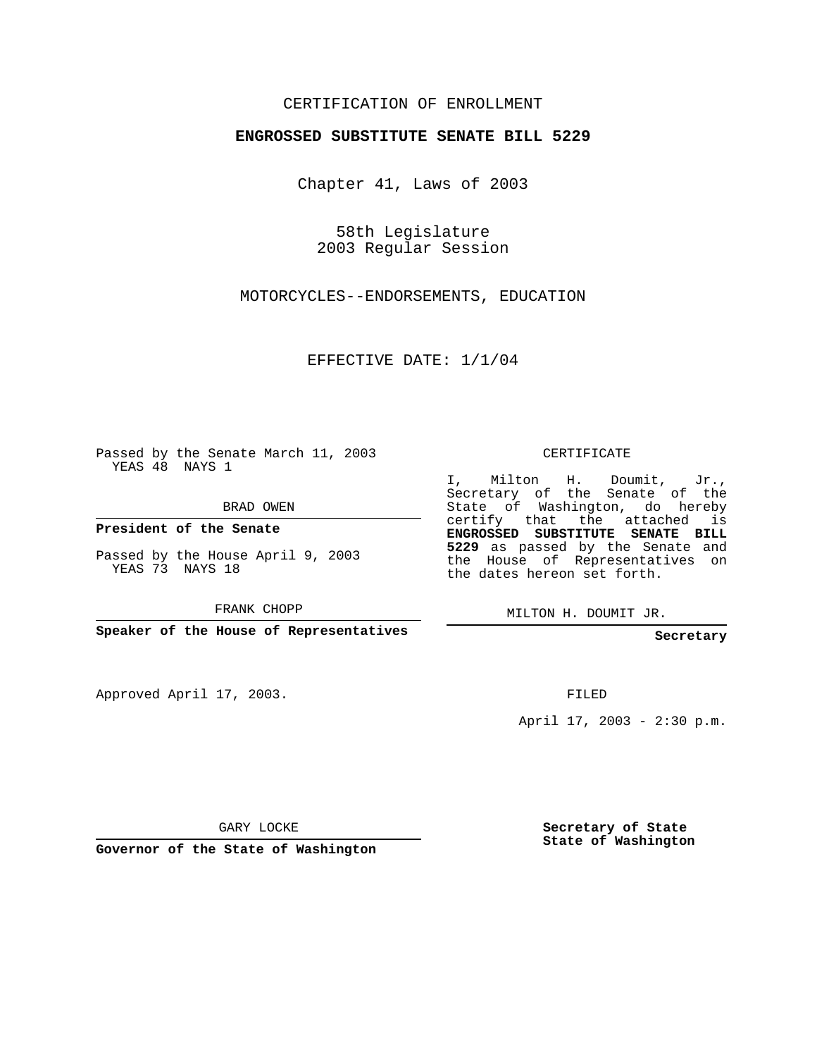## CERTIFICATION OF ENROLLMENT

#### **ENGROSSED SUBSTITUTE SENATE BILL 5229**

Chapter 41, Laws of 2003

58th Legislature 2003 Regular Session

MOTORCYCLES--ENDORSEMENTS, EDUCATION

EFFECTIVE DATE: 1/1/04

Passed by the Senate March 11, 2003 YEAS 48 NAYS 1

BRAD OWEN

**President of the Senate**

Passed by the House April 9, 2003 YEAS 73 NAYS 18

FRANK CHOPP

**Speaker of the House of Representatives**

Approved April 17, 2003.

CERTIFICATE

I, Milton H. Doumit, Jr., Secretary of the Senate of the State of Washington, do hereby certify that the attached is **ENGROSSED SUBSTITUTE SENATE BILL 5229** as passed by the Senate and the House of Representatives on the dates hereon set forth.

MILTON H. DOUMIT JR.

**Secretary**

FILED

April 17, 2003 - 2:30 p.m.

GARY LOCKE

**Governor of the State of Washington**

**Secretary of State State of Washington**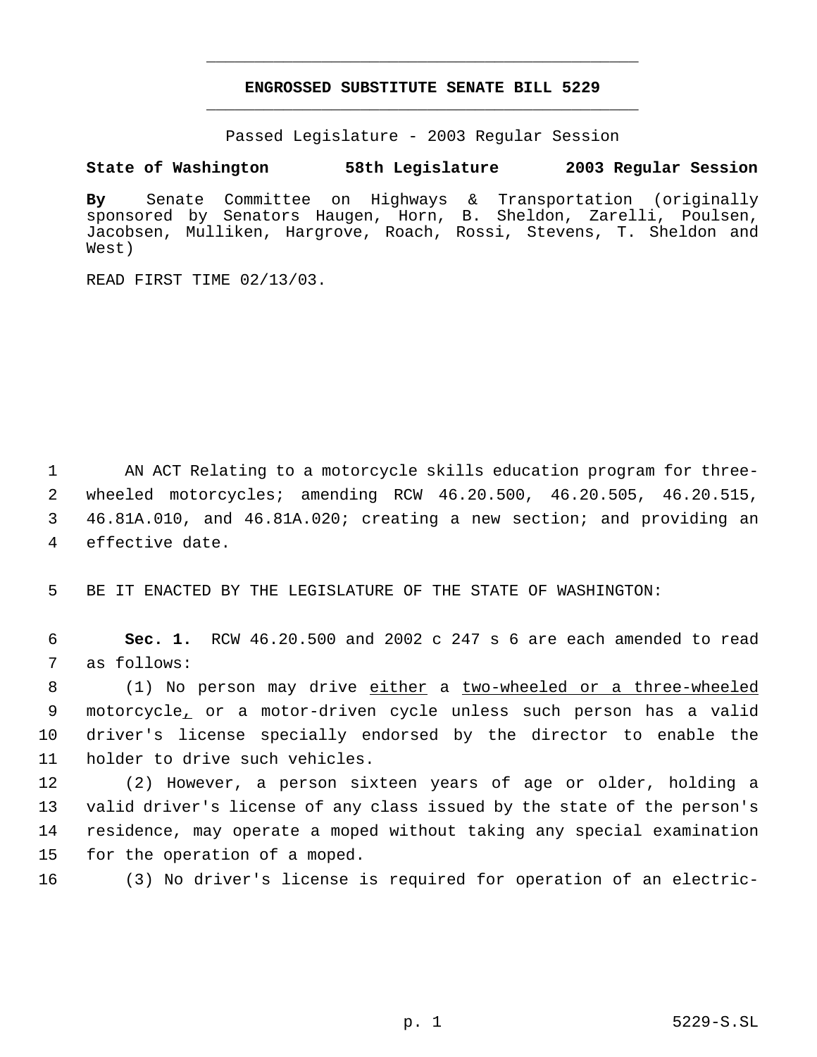# **ENGROSSED SUBSTITUTE SENATE BILL 5229** \_\_\_\_\_\_\_\_\_\_\_\_\_\_\_\_\_\_\_\_\_\_\_\_\_\_\_\_\_\_\_\_\_\_\_\_\_\_\_\_\_\_\_\_\_

\_\_\_\_\_\_\_\_\_\_\_\_\_\_\_\_\_\_\_\_\_\_\_\_\_\_\_\_\_\_\_\_\_\_\_\_\_\_\_\_\_\_\_\_\_

Passed Legislature - 2003 Regular Session

## **State of Washington 58th Legislature 2003 Regular Session**

**By** Senate Committee on Highways & Transportation (originally sponsored by Senators Haugen, Horn, B. Sheldon, Zarelli, Poulsen, Jacobsen, Mulliken, Hargrove, Roach, Rossi, Stevens, T. Sheldon and West)

READ FIRST TIME 02/13/03.

 AN ACT Relating to a motorcycle skills education program for three- wheeled motorcycles; amending RCW 46.20.500, 46.20.505, 46.20.515, 46.81A.010, and 46.81A.020; creating a new section; and providing an effective date.

5 BE IT ENACTED BY THE LEGISLATURE OF THE STATE OF WASHINGTON:

 6 **Sec. 1.** RCW 46.20.500 and 2002 c 247 s 6 are each amended to read 7 as follows:

8 (1) No person may drive either a two-wheeled or a three-wheeled motorcycle, or a motor-driven cycle unless such person has a valid driver's license specially endorsed by the director to enable the holder to drive such vehicles.

 (2) However, a person sixteen years of age or older, holding a valid driver's license of any class issued by the state of the person's residence, may operate a moped without taking any special examination for the operation of a moped.

16 (3) No driver's license is required for operation of an electric-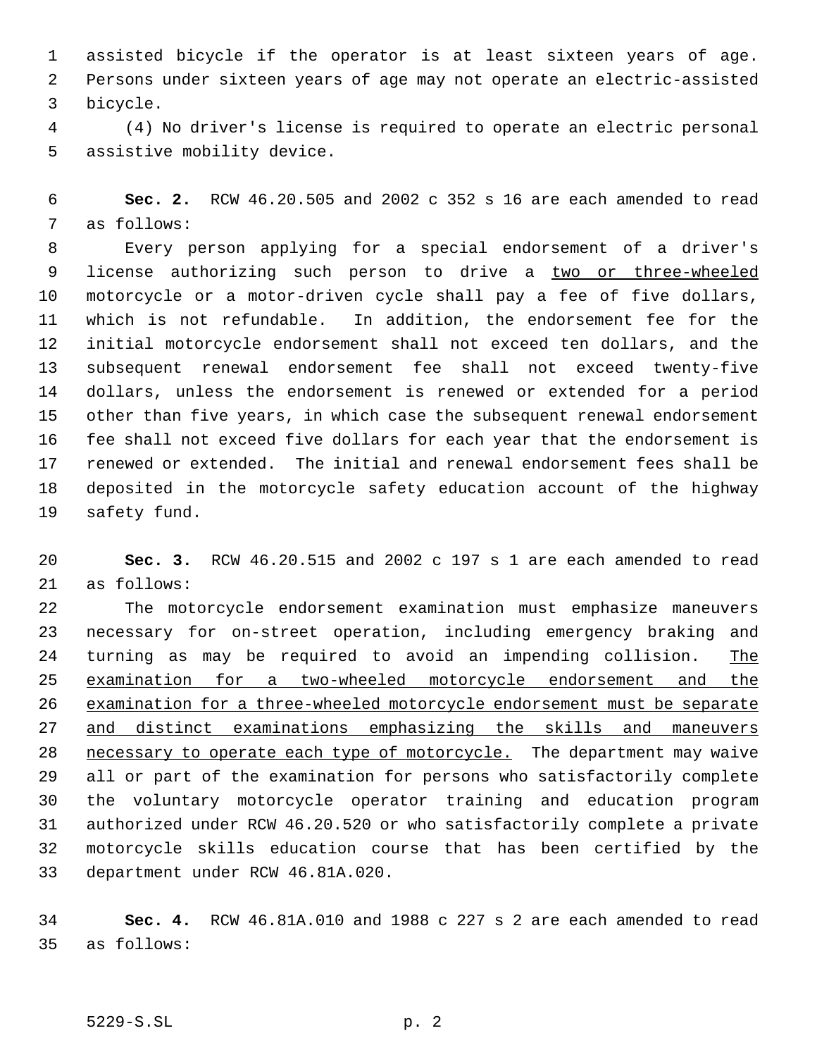assisted bicycle if the operator is at least sixteen years of age. Persons under sixteen years of age may not operate an electric-assisted bicycle.

 (4) No driver's license is required to operate an electric personal assistive mobility device.

 **Sec. 2.** RCW 46.20.505 and 2002 c 352 s 16 are each amended to read as follows:

 Every person applying for a special endorsement of a driver's license authorizing such person to drive a two or three-wheeled motorcycle or a motor-driven cycle shall pay a fee of five dollars, which is not refundable. In addition, the endorsement fee for the initial motorcycle endorsement shall not exceed ten dollars, and the subsequent renewal endorsement fee shall not exceed twenty-five dollars, unless the endorsement is renewed or extended for a period other than five years, in which case the subsequent renewal endorsement fee shall not exceed five dollars for each year that the endorsement is renewed or extended. The initial and renewal endorsement fees shall be deposited in the motorcycle safety education account of the highway safety fund.

 **Sec. 3.** RCW 46.20.515 and 2002 c 197 s 1 are each amended to read as follows:

 The motorcycle endorsement examination must emphasize maneuvers necessary for on-street operation, including emergency braking and 24 turning as may be required to avoid an impending collision. The examination for a two-wheeled motorcycle endorsement and the examination for a three-wheeled motorcycle endorsement must be separate and distinct examinations emphasizing the skills and maneuvers 28 necessary to operate each type of motorcycle. The department may waive all or part of the examination for persons who satisfactorily complete the voluntary motorcycle operator training and education program authorized under RCW 46.20.520 or who satisfactorily complete a private motorcycle skills education course that has been certified by the department under RCW 46.81A.020.

 **Sec. 4.** RCW 46.81A.010 and 1988 c 227 s 2 are each amended to read as follows:

### 5229-S.SL p. 2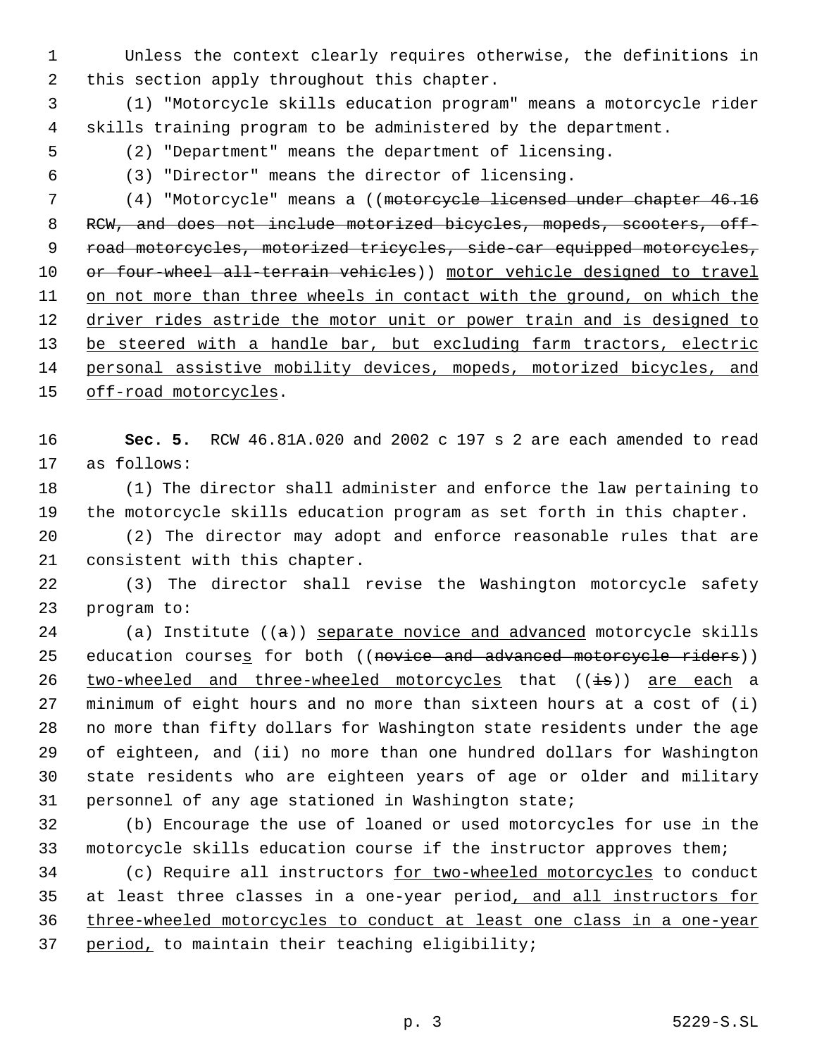Unless the context clearly requires otherwise, the definitions in this section apply throughout this chapter.

 (1) "Motorcycle skills education program" means a motorcycle rider skills training program to be administered by the department.

- (2) "Department" means the department of licensing.
- 

(3) "Director" means the director of licensing.

 (4) "Motorcycle" means a ((motorcycle licensed under chapter 46.16 8 RCW, and does not include motorized bicycles, mopeds, scooters, off- road motorcycles, motorized tricycles, side-car equipped motorcycles, 10 or four-wheel all-terrain vehicles)) motor vehicle designed to travel 11 on not more than three wheels in contact with the ground, on which the 12 driver rides astride the motor unit or power train and is designed to 13 be steered with a handle bar, but excluding farm tractors, electric personal assistive mobility devices, mopeds, motorized bicycles, and 15 off-road motorcycles.

 **Sec. 5.** RCW 46.81A.020 and 2002 c 197 s 2 are each amended to read as follows:

 (1) The director shall administer and enforce the law pertaining to the motorcycle skills education program as set forth in this chapter.

 (2) The director may adopt and enforce reasonable rules that are consistent with this chapter.

 (3) The director shall revise the Washington motorcycle safety program to:

24 (a) Institute  $((a))$  separate novice and advanced motorcycle skills 25 education courses for both ((novice and advanced motorcycle riders)) 26 two-wheeled and three-wheeled motorcycles that ((is)) are each a minimum of eight hours and no more than sixteen hours at a cost of (i) no more than fifty dollars for Washington state residents under the age of eighteen, and (ii) no more than one hundred dollars for Washington state residents who are eighteen years of age or older and military personnel of any age stationed in Washington state;

 (b) Encourage the use of loaned or used motorcycles for use in the motorcycle skills education course if the instructor approves them;

 (c) Require all instructors for two-wheeled motorcycles to conduct at least three classes in a one-year period, and all instructors for three-wheeled motorcycles to conduct at least one class in a one-year 37 period, to maintain their teaching eligibility;